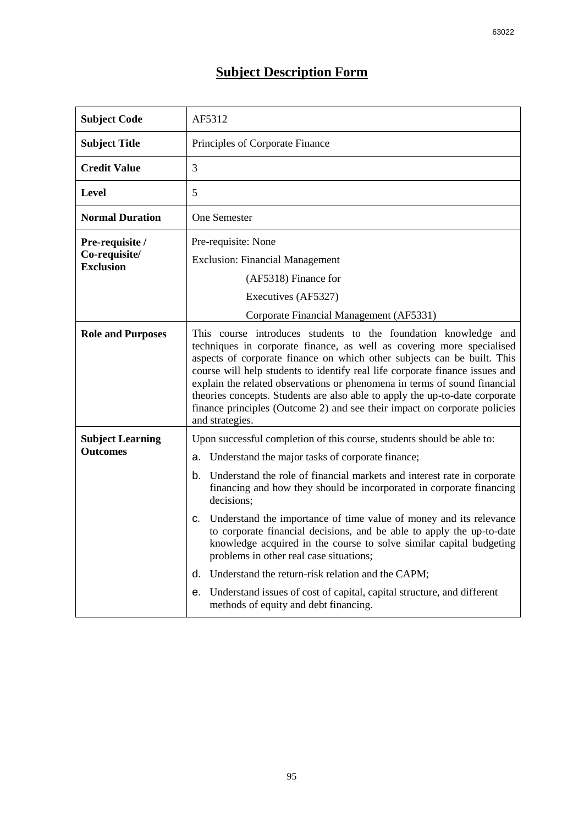## **Subject Description Form**

| <b>Subject Code</b>                                  | AF5312                                                                                                                                                                                                                                                                                                                                                                                                                                                                                                                                                                                                                                                                                                                                                             |  |  |  |
|------------------------------------------------------|--------------------------------------------------------------------------------------------------------------------------------------------------------------------------------------------------------------------------------------------------------------------------------------------------------------------------------------------------------------------------------------------------------------------------------------------------------------------------------------------------------------------------------------------------------------------------------------------------------------------------------------------------------------------------------------------------------------------------------------------------------------------|--|--|--|
| <b>Subject Title</b>                                 | Principles of Corporate Finance                                                                                                                                                                                                                                                                                                                                                                                                                                                                                                                                                                                                                                                                                                                                    |  |  |  |
| <b>Credit Value</b>                                  | 3                                                                                                                                                                                                                                                                                                                                                                                                                                                                                                                                                                                                                                                                                                                                                                  |  |  |  |
| Level                                                | 5                                                                                                                                                                                                                                                                                                                                                                                                                                                                                                                                                                                                                                                                                                                                                                  |  |  |  |
| <b>Normal Duration</b>                               | <b>One Semester</b>                                                                                                                                                                                                                                                                                                                                                                                                                                                                                                                                                                                                                                                                                                                                                |  |  |  |
| Pre-requisite /<br>Co-requisite/<br><b>Exclusion</b> | Pre-requisite: None<br><b>Exclusion: Financial Management</b><br>(AF5318) Finance for<br>Executives (AF5327)                                                                                                                                                                                                                                                                                                                                                                                                                                                                                                                                                                                                                                                       |  |  |  |
| <b>Role and Purposes</b>                             | Corporate Financial Management (AF5331)<br>This course introduces students to the foundation knowledge and<br>techniques in corporate finance, as well as covering more specialised<br>aspects of corporate finance on which other subjects can be built. This<br>course will help students to identify real life corporate finance issues and<br>explain the related observations or phenomena in terms of sound financial<br>theories concepts. Students are also able to apply the up-to-date corporate<br>finance principles (Outcome 2) and see their impact on corporate policies<br>and strategies.                                                                                                                                                         |  |  |  |
| <b>Subject Learning</b><br><b>Outcomes</b>           | Upon successful completion of this course, students should be able to:<br>Understand the major tasks of corporate finance;<br>a.<br>Understand the role of financial markets and interest rate in corporate<br>b.<br>financing and how they should be incorporated in corporate financing<br>decisions;<br>Understand the importance of time value of money and its relevance<br>C.<br>to corporate financial decisions, and be able to apply the up-to-date<br>knowledge acquired in the course to solve similar capital budgeting<br>problems in other real case situations;<br>Understand the return-risk relation and the CAPM;<br>d.<br>Understand issues of cost of capital, capital structure, and different<br>е.<br>methods of equity and debt financing. |  |  |  |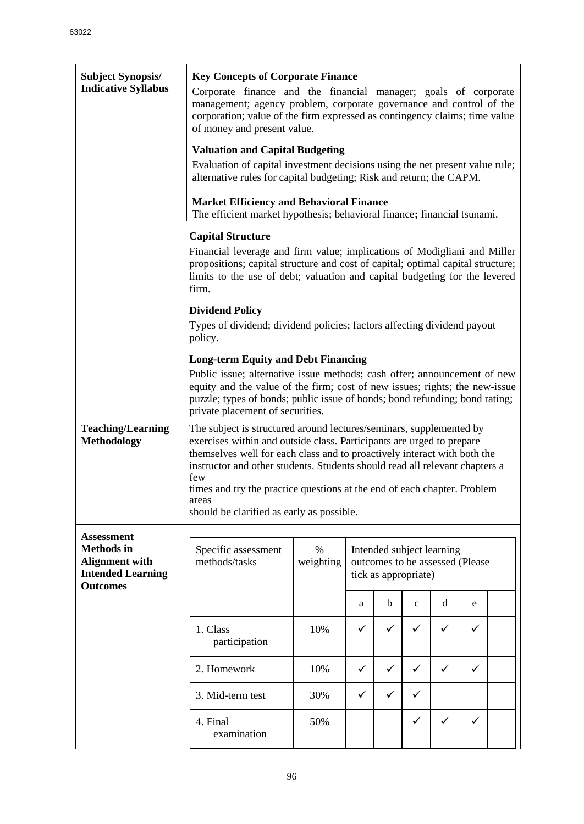| <b>Subject Synopsis/</b><br><b>Indicative Syllabus</b>                                                         | <b>Key Concepts of Corporate Finance</b><br>Corporate finance and the financial manager; goals of corporate<br>management; agency problem, corporate governance and control of the<br>corporation; value of the firm expressed as contingency claims; time value<br>of money and present value.<br><b>Valuation and Capital Budgeting</b><br>Evaluation of capital investment decisions using the net present value rule;<br>alternative rules for capital budgeting; Risk and return; the CAPM.<br><b>Market Efficiency and Behavioral Finance</b> |                   |              |              |                                                                   |              |                                      |  |
|----------------------------------------------------------------------------------------------------------------|-----------------------------------------------------------------------------------------------------------------------------------------------------------------------------------------------------------------------------------------------------------------------------------------------------------------------------------------------------------------------------------------------------------------------------------------------------------------------------------------------------------------------------------------------------|-------------------|--------------|--------------|-------------------------------------------------------------------|--------------|--------------------------------------|--|
|                                                                                                                | The efficient market hypothesis; behavioral finance; financial tsunami.<br><b>Capital Structure</b><br>Financial leverage and firm value; implications of Modigliani and Miller<br>propositions; capital structure and cost of capital; optimal capital structure;<br>limits to the use of debt; valuation and capital budgeting for the levered<br>firm.<br><b>Dividend Policy</b><br>Types of dividend; dividend policies; factors affecting dividend payout                                                                                      |                   |              |              |                                                                   |              |                                      |  |
|                                                                                                                | policy.<br><b>Long-term Equity and Debt Financing</b><br>Public issue; alternative issue methods; cash offer; announcement of new<br>equity and the value of the firm; cost of new issues; rights; the new-issue<br>puzzle; types of bonds; public issue of bonds; bond refunding; bond rating;<br>private placement of securities.                                                                                                                                                                                                                 |                   |              |              |                                                                   |              |                                      |  |
| <b>Teaching/Learning</b><br><b>Methodology</b>                                                                 | The subject is structured around lectures/seminars, supplemented by<br>exercises within and outside class. Participants are urged to prepare<br>themselves well for each class and to proactively interact with both the<br>instructor and other students. Students should read all relevant chapters a<br>few<br>times and try the practice questions at the end of each chapter. Problem<br>areas<br>should be clarified as early as possible.                                                                                                    |                   |              |              |                                                                   |              |                                      |  |
| <b>Assessment</b><br><b>Methods</b> in<br><b>Alignment with</b><br><b>Intended Learning</b><br><b>Outcomes</b> | Specific assessment<br>methods/tasks                                                                                                                                                                                                                                                                                                                                                                                                                                                                                                                | $\%$<br>weighting | a            | b            | Intended subject learning<br>tick as appropriate)<br>$\mathbf{C}$ | d            | outcomes to be assessed (Please<br>e |  |
|                                                                                                                | 1. Class<br>participation                                                                                                                                                                                                                                                                                                                                                                                                                                                                                                                           | 10%               | ✓            | ✓            | ✓                                                                 | $\checkmark$ | ✓                                    |  |
|                                                                                                                | 2. Homework                                                                                                                                                                                                                                                                                                                                                                                                                                                                                                                                         | 10%               | $\checkmark$ | $\checkmark$ | $\checkmark$                                                      | $\checkmark$ | ✓                                    |  |
|                                                                                                                | 3. Mid-term test                                                                                                                                                                                                                                                                                                                                                                                                                                                                                                                                    | 30%               | $\checkmark$ | ✓            | ✓                                                                 |              |                                      |  |
|                                                                                                                | 4. Final<br>examination                                                                                                                                                                                                                                                                                                                                                                                                                                                                                                                             | 50%               |              |              | ✓                                                                 | ✓            | ✓                                    |  |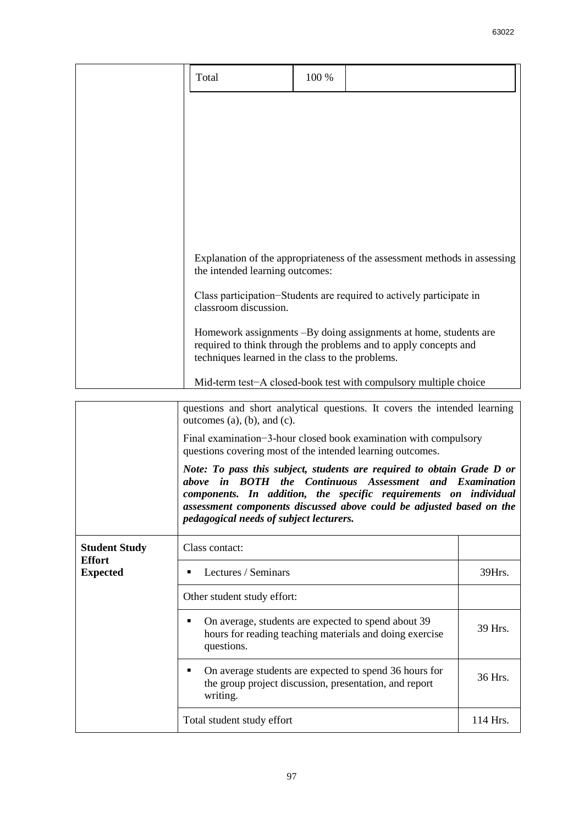| Total                                            | 100 % |                                                                                                                                      |
|--------------------------------------------------|-------|--------------------------------------------------------------------------------------------------------------------------------------|
|                                                  |       |                                                                                                                                      |
|                                                  |       |                                                                                                                                      |
|                                                  |       |                                                                                                                                      |
|                                                  |       |                                                                                                                                      |
|                                                  |       |                                                                                                                                      |
| the intended learning outcomes:                  |       | Explanation of the appropriateness of the assessment methods in assessing                                                            |
| classroom discussion.                            |       | Class participation–Students are required to actively participate in                                                                 |
| techniques learned in the class to the problems. |       | Homework assignments -By doing assignments at home, students are<br>required to think through the problems and to apply concepts and |
|                                                  |       | Mid-term test-A closed-book test with compulsory multiple choice                                                                     |

|                                                          | questions and short analytical questions. It covers the intended learning<br>outcomes $(a)$ , $(b)$ , and $(c)$ .                                                                                                                                                                                                        |          |  |  |
|----------------------------------------------------------|--------------------------------------------------------------------------------------------------------------------------------------------------------------------------------------------------------------------------------------------------------------------------------------------------------------------------|----------|--|--|
|                                                          | Final examination-3-hour closed book examination with compulsory<br>questions covering most of the intended learning outcomes.                                                                                                                                                                                           |          |  |  |
|                                                          | Note: To pass this subject, students are required to obtain Grade D or<br>above in BOTH the Continuous Assessment and Examination<br>components. In addition, the specific requirements on individual<br>assessment components discussed above could be adjusted based on the<br>pedagogical needs of subject lecturers. |          |  |  |
| <b>Student Study</b><br><b>Effort</b><br><b>Expected</b> | Class contact:                                                                                                                                                                                                                                                                                                           |          |  |  |
|                                                          | Lectures / Seminars<br>39Hrs.                                                                                                                                                                                                                                                                                            |          |  |  |
|                                                          | Other student study effort:                                                                                                                                                                                                                                                                                              |          |  |  |
|                                                          | On average, students are expected to spend about 39<br>hours for reading teaching materials and doing exercise<br>questions.                                                                                                                                                                                             | 39 Hrs.  |  |  |
|                                                          | On average students are expected to spend 36 hours for<br>٠<br>the group project discussion, presentation, and report<br>writing.                                                                                                                                                                                        | 36 Hrs.  |  |  |
|                                                          | Total student study effort                                                                                                                                                                                                                                                                                               | 114 Hrs. |  |  |